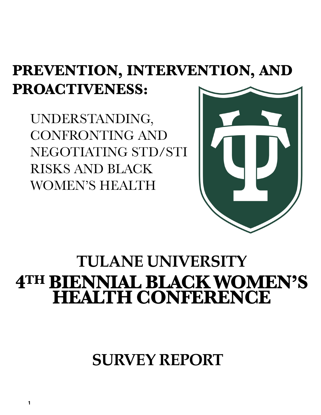## **PREVENTION, INTERVENTION, AND PROACTIVENESS:**

UNDERSTANDING, CONFRONTING AND NEGOTIATING STD/STI RISKS AND BLACK WOMEN'S HEALTH



## **TULANE UNIVERSITY 4TH BIENNIAL BLACK WOMEN'S HEALTH CONFERENCE**

**SURVEY REPORT**